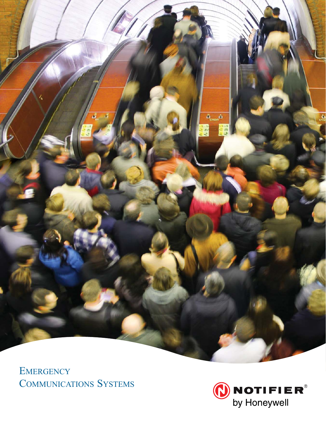

EMERGENCY **COMMUNICATIONS SYSTEMS** 

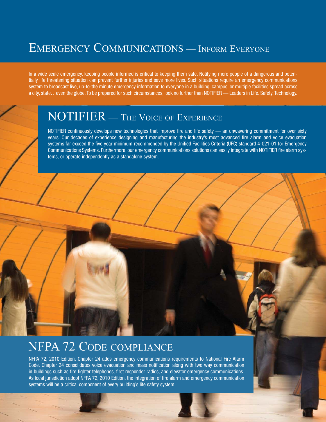## EMERGENCY COMMUNICATIONS — INFORM EVERYONE

In a wide scale emergency, keeping people informed is critical to keeping them safe. Notifying more people of a dangerous and potentially life threatening situation can prevent further injuries and save more lives. Such situations require an emergency communications system to broadcast live, up-to-the minute emergency information to everyone in a building, campus, or multiple facilities spread across a city, state…even the globe. To be prepared for such circumstances, look no further than NOTIFIER — Leaders in Life. Safety. Technology.

## NOTIFIER — THE VOICE OF EXPERIENCE

NOTIFIER continuously develops new technologies that improve fire and life safety — an unwavering commitment for over sixty years. Our decades of experience designing and manufacturing the industry's most advanced fire alarm and voice evacuation systems far exceed the five year minimum recommended by the Unified Facilities Criteria (UFC) standard 4-021-01 for Emergency Communications Systems. Furthermore, our emergency communications solutions can easily integrate with NOTIFIER fire alarm systems, or operate independently as a standalone system.

### NFPA 72 CODE COMPLIANCE

NFPA 72, 2010 Edition, Chapter 24 adds emergency communications requirements to National Fire Alarm Code. Chapter 24 consolidates voice evacuation and mass notification along with two way communication in buildings such as fire fighter telephones, first responder radios, and elevator emergency communications. As local jurisdiction adopt NFPA 72, 2010 Edition, the integration of fire alarm and emergency communication systems will be a critical component of every building's life safety system.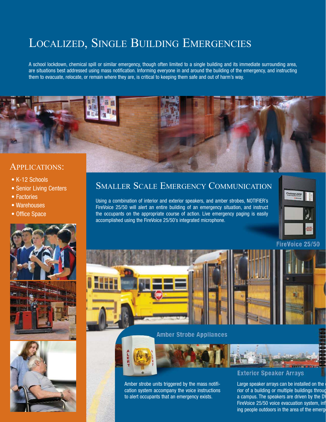# LOCALIZED, SINGLE BUILDING EMERGENCIES

A school lockdown, chemical spill or similar emergency, though often limited to a single building and its immediate surrounding area, are situations best addressed using mass notification. Informing everyone in and around the building of the emergency, and instructing them to evacuate, relocate, or remain where they are, is critical to keeping them safe and out of harm's way.



#### APPLICATIONS:

- K-12 Schools
- Senior Living Centers
- Factories
- Warehouses
- Office Space



Using a combination of interior and exterior speakers, and amber strobes, NOTIFIER's FireVoice 25/50 will alert an entire building of an emergency situation, and instruct the occupants on the appropriate course of action. Live emergency paging is easily accomplished using the FireVoice 25/50's integrated microphone.







# FireVoice 25/50

**Amber Strobe Appliances** 





Amber strobe units triggered by the mass notification system accompany the voice instructions to alert occupants that an emergency exists.

#### **Exterior Speaker Arrays**

Large speaker arrays can be installed on the rior of a building or multiple buildings throug a campus. The speakers are driven by the D FireVoice 25/50 voice evacuation system, inf ing people outdoors in the area of the emerg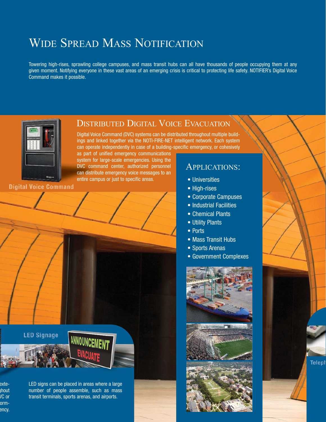# WIDE SPREAD MASS NOTIFICATION

Towering high-rises, sprawling college campuses, and mass transit hubs can all have thousands of people occupying them at any given moment. Notifying everyone in these vast areas of an emerging crisis is critical to protecting life safety. NOTIFIER's Digital Voice Command makes it possible.



DISTRIBUTED DIGITAL VOICE EVACUATION

Digital Voice Command (DVC) systems can be distributed throughout multiple buildings and linked together via the NOTI-FIRE-NET intelligent network. Each system can operate independently in case of a building-specific emergency, or cohesively

as part of unified emergency communications system for large-scale emergencies. Using the DVC command center, authorized personnel can distribute emergency voice messages to an entire campus or just to specific areas.

**Digital Voice Command** 

**LED Signage** 

#### APPLICATIONS:

- Universities
- High-rises
- Corporate Campuses
- Industrial Facilities
- Chemical Plants
- Utility Plants
- Ports
- Mass Transit Hubs
- Sports Arenas
- Government Complexes





exteghout VC or ormency. LED signs can be placed in areas where a large number of people assemble, such as mass transit terminals, sports arenas, and airports.

ANNOUNCEMENT

**Teleph**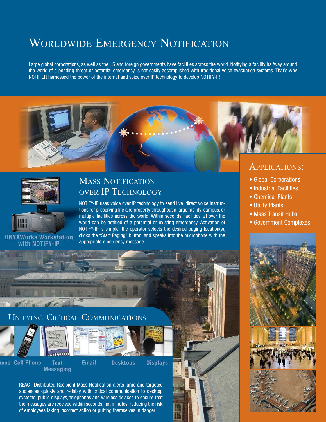## WORLDWIDE EMERGENCY NOTIFICATION

Large global corporations, as well as the US and foreign governments have facilities across the world. Notifying a facility halfway around the world of a pending threat or potential emergency is not easily accomplished with traditional voice evacuation systems. That's why NOTIFIER harnessed the power of the internet and voice over IP technology to develop NOTIFY-IP.





#### MASS NOTIFICATION OVER IP TECHNOLOGY

NOTIFY-IP uses voice over IP technology to send live, direct voice instructions for preserving life and property throughout a large facility, campus, or multiple facilities across the world. Within seconds, facilities all over the world can be notified of a potential or existing emergency. Activation of NOTIFY-IP is simple; the operator selects the desired paging location(s), clicks the "Start Paging" button, and speaks into the microphone with the appropriate emergency message.

#### APPLICATIONS:

- Global Corporations
- Industrial Facilities
- Chemical Plants
- Utility Plants
- Mass Transit Hubs
- Government Complexes



the messages are received within seconds, not minutes, reducing the risk of employees taking incorrect action or putting themselves in danger.